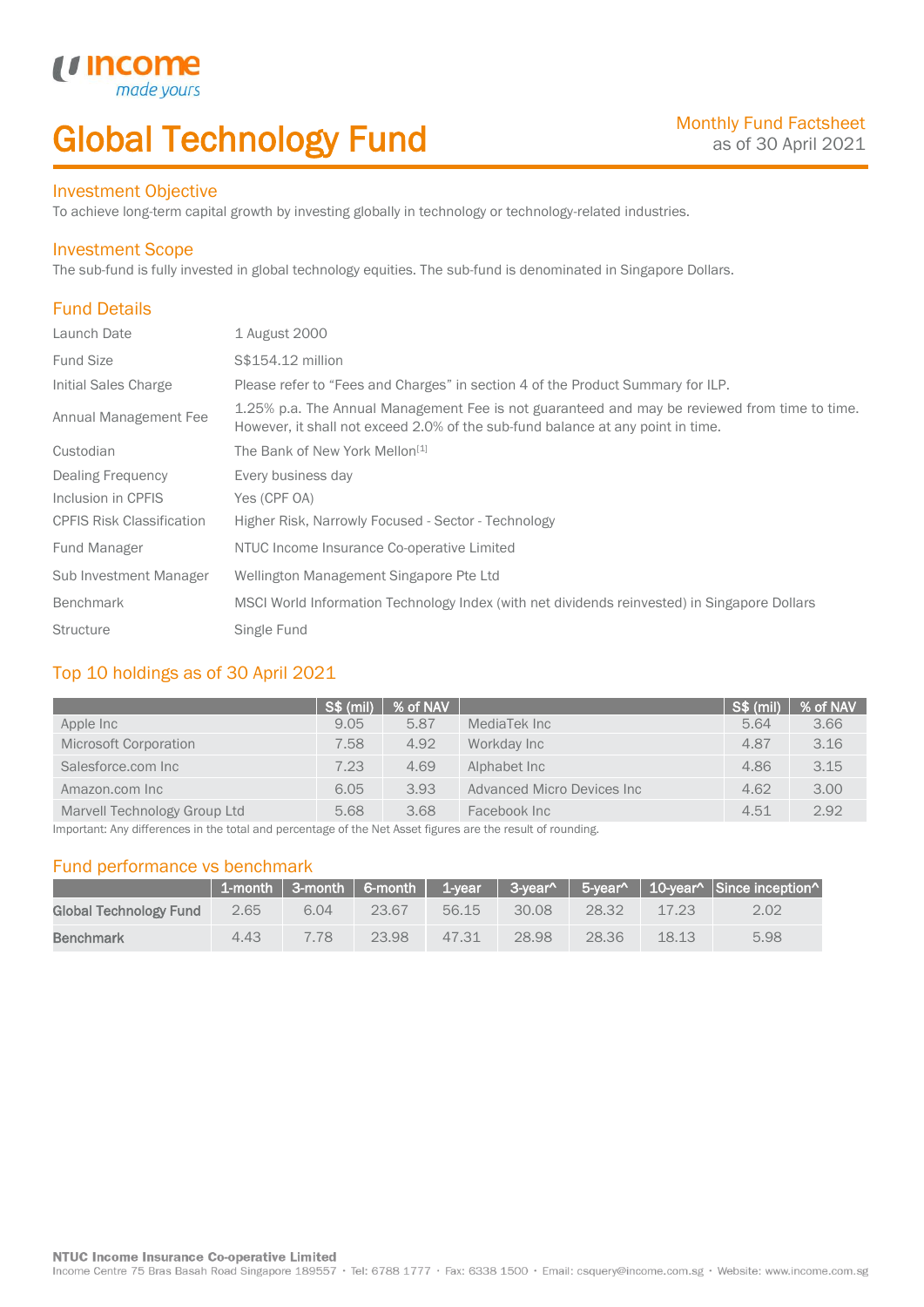# Global Technology Fund

## Investment Objective

made<sub>1</sub>

*u* incom

To achieve long-term capital growth by investing globally in technology or technology-related industries.

### Investment Scope

The sub-fund is fully invested in global technology equities. The sub-fund is denominated in Singapore Dollars.

# Fund Details

I

| Launch Date                      | 1 August 2000                                                                                                                                                                    |
|----------------------------------|----------------------------------------------------------------------------------------------------------------------------------------------------------------------------------|
| <b>Fund Size</b>                 | S\$154.12 million                                                                                                                                                                |
| Initial Sales Charge             | Please refer to "Fees and Charges" in section 4 of the Product Summary for ILP.                                                                                                  |
| Annual Management Fee            | 1.25% p.a. The Annual Management Fee is not guaranteed and may be reviewed from time to time.<br>However, it shall not exceed 2.0% of the sub-fund balance at any point in time. |
| Custodian                        | The Bank of New York Mellon <sup>[1]</sup>                                                                                                                                       |
| <b>Dealing Frequency</b>         | Every business day                                                                                                                                                               |
| Inclusion in CPFIS               | Yes (CPF OA)                                                                                                                                                                     |
| <b>CPFIS Risk Classification</b> | Higher Risk, Narrowly Focused - Sector - Technology                                                                                                                              |
| <b>Fund Manager</b>              | NTUC Income Insurance Co-operative Limited                                                                                                                                       |
| Sub Investment Manager           | Wellington Management Singapore Pte Ltd                                                                                                                                          |
| <b>Benchmark</b>                 | MSCI World Information Technology Index (with net dividends reinvested) in Singapore Dollars                                                                                     |
| <b>Structure</b>                 | Single Fund                                                                                                                                                                      |

# Top 10 holdings as of 30 April 2021

|                              | <b>S\$ (mil)</b> | % of NAV |                            | S\$ (mil) | % of NAV |
|------------------------------|------------------|----------|----------------------------|-----------|----------|
| Apple Inc                    | 9.05             | 5.87     | MediaTek Inc               | 5.64      | 3.66     |
| Microsoft Corporation        | 7.58             | 4.92     | Workday Inc                | 4.87      | 3.16     |
| Salesforce.com Inc           | 7.23             | 4.69     | Alphabet Inc               | 4.86      | 3.15     |
| Amazon.com Inc               | 6.05             | 3.93     | Advanced Micro Devices Inc | 4.62      | 3.00     |
| Marvell Technology Group Ltd | 5.68             | 3.68     | Facebook Inc               | 4.51      | 2.92     |

Important: Any differences in the total and percentage of the Net Asset figures are the result of rounding.

# Fund performance vs benchmark

|                        |      |      |       |       |       |       |       | 1-month   3-month   6-month   1-year   3-year^   5-year^   10-year^   Since inception^ |
|------------------------|------|------|-------|-------|-------|-------|-------|----------------------------------------------------------------------------------------|
| Global Technology Fund | 2.65 | 6.04 | 23.67 | 56.15 | 30.08 | 28.32 | 17.23 | 2.02                                                                                   |
| <b>Benchmark</b>       | 4.43 | 7 78 | 23.98 | 47.31 | 28.98 | 28.36 | 18.13 | 5.98                                                                                   |